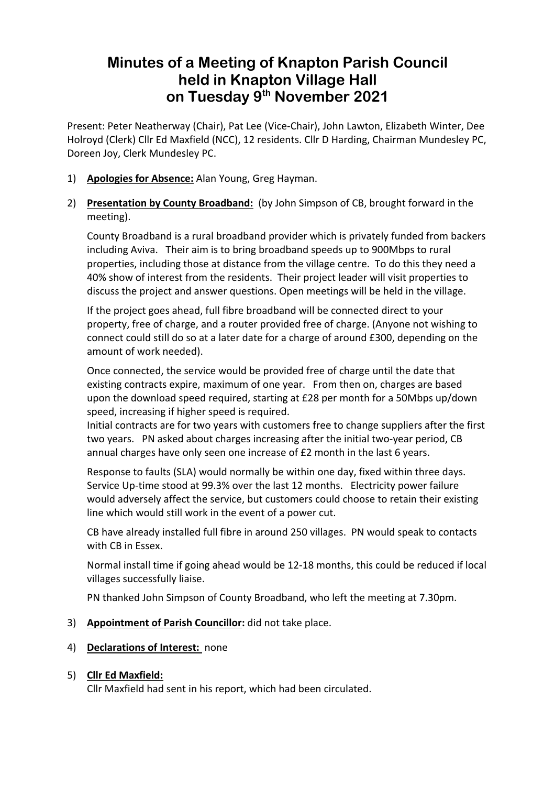# **Minutes of a Meeting of Knapton Parish Council held in Knapton Village Hall on Tuesday 9th November 2021**

Present: Peter Neatherway (Chair), Pat Lee (Vice-Chair), John Lawton, Elizabeth Winter, Dee Holroyd (Clerk) Cllr Ed Maxfield (NCC), 12 residents. Cllr D Harding, Chairman Mundesley PC, Doreen Joy, Clerk Mundesley PC.

- 1) **Apologies for Absence:** Alan Young, Greg Hayman.
- 2) **Presentation by County Broadband:** (by John Simpson of CB, brought forward in the meeting).

County Broadband is a rural broadband provider which is privately funded from backers including Aviva. Their aim is to bring broadband speeds up to 900Mbps to rural properties, including those at distance from the village centre. To do this they need a 40% show of interest from the residents. Their project leader will visit properties to discuss the project and answer questions. Open meetings will be held in the village.

If the project goes ahead, full fibre broadband will be connected direct to your property, free of charge, and a router provided free of charge. (Anyone not wishing to connect could still do so at a later date for a charge of around £300, depending on the amount of work needed).

Once connected, the service would be provided free of charge until the date that existing contracts expire, maximum of one year. From then on, charges are based upon the download speed required, starting at £28 per month for a 50Mbps up/down speed, increasing if higher speed is required.

Initial contracts are for two years with customers free to change suppliers after the first two years. PN asked about charges increasing after the initial two-year period, CB annual charges have only seen one increase of £2 month in the last 6 years.

Response to faults (SLA) would normally be within one day, fixed within three days. Service Up-time stood at 99.3% over the last 12 months. Electricity power failure would adversely affect the service, but customers could choose to retain their existing line which would still work in the event of a power cut.

CB have already installed full fibre in around 250 villages. PN would speak to contacts with CB in Essex.

Normal install time if going ahead would be 12-18 months, this could be reduced if local villages successfully liaise.

PN thanked John Simpson of County Broadband, who left the meeting at 7.30pm.

- 3) **Appointment of Parish Councillor:** did not take place.
- 4) **Declarations of Interest:** none

# 5) **Cllr Ed Maxfield:**

Cllr Maxfield had sent in his report, which had been circulated.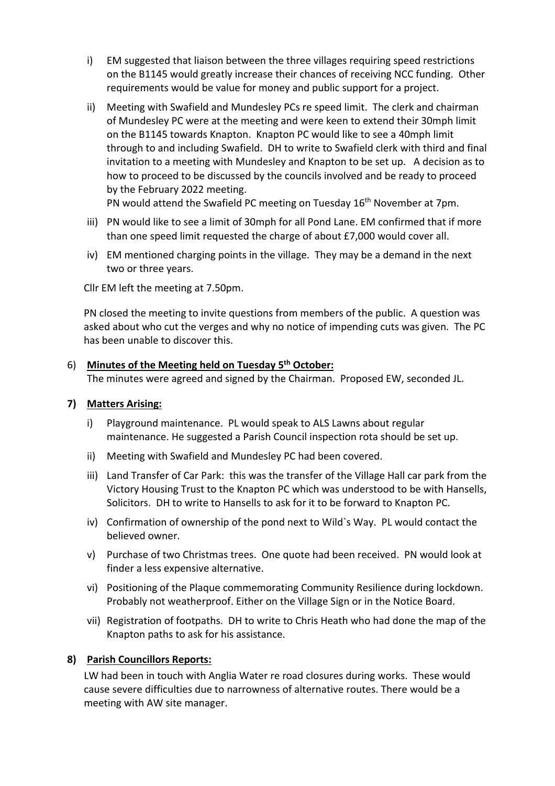- i) EM suggested that liaison between the three villages requiring speed restrictions on the B1145 would greatly increase their chances of receiving NCC funding. Other requirements would be value for money and public support for a project.
- ii) Meeting with Swafield and Mundesley PCs re speed limit. The clerk and chairman of Mundesley PC were at the meeting and were keen to extend their 30mph limit on the B1145 towards Knapton. Knapton PC would like to see a 40mph limit through to and including Swafield. DH to write to Swafield clerk with third and final invitation to a meeting with Mundesley and Knapton to be set up. A decision as to how to proceed to be discussed by the councils involved and be ready to proceed by the February 2022 meeting.

PN would attend the Swafield PC meeting on Tuesday 16<sup>th</sup> November at 7pm.

- iii) PN would like to see a limit of 30mph for all Pond Lane. EM confirmed that if more than one speed limit requested the charge of about £7,000 would cover all.
- iv) EM mentioned charging points in the village. They may be a demand in the next two or three years.

Cllr EM left the meeting at 7.50pm.

PN closed the meeting to invite questions from members of the public. A question was asked about who cut the verges and why no notice of impending cuts was given. The PC has been unable to discover this.

#### 6) **Minutes of the Meeting held on Tuesday 5th October:**

The minutes were agreed and signed by the Chairman. Proposed EW, seconded JL.

#### **7) Matters Arising:**

- i) Playground maintenance. PL would speak to ALS Lawns about regular maintenance. He suggested a Parish Council inspection rota should be set up.
- ii) Meeting with Swafield and Mundesley PC had been covered.
- iii) Land Transfer of Car Park: this was the transfer of the Village Hall car park from the Victory Housing Trust to the Knapton PC which was understood to be with Hansells, Solicitors. DH to write to Hansells to ask for it to be forward to Knapton PC.
- iv) Confirmation of ownership of the pond next to Wild`s Way. PL would contact the believed owner.
- v) Purchase of two Christmas trees. One quote had been received. PN would look at finder a less expensive alternative.
- vi) Positioning of the Plaque commemorating Community Resilience during lockdown. Probably not weatherproof. Either on the Village Sign or in the Notice Board.
- vii) Registration of footpaths. DH to write to Chris Heath who had done the map of the Knapton paths to ask for his assistance.

#### **8) Parish Councillors Reports:**

LW had been in touch with Anglia Water re road closures during works. These would cause severe difficulties due to narrowness of alternative routes. There would be a meeting with AW site manager.